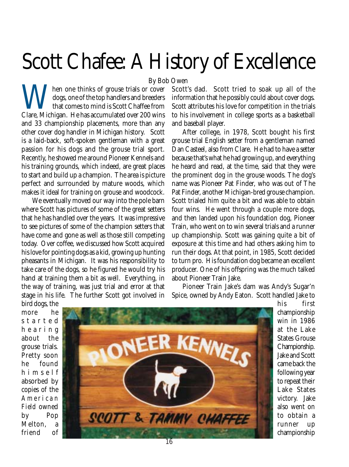## Scott Chafee: A History of Excellence

By Bob Owen

When one thinks of grouse trials or cover<br>dogs, one of the top handlers and breeders<br>that comes to mind is Scott Chaffee from<br>Clare, Michigan. He has accumulated over 200 wins dogs, one of the top handlers and breeders that comes to mind is Scott Chaffee from Clare, Michigan. He has accumulated over 200 wins and 33 championship placements, more than any other cover dog handler in Michigan history. Scott is a laid-back, soft-spoken gentleman with a great passion for his dogs and the grouse trial sport. Recently, he showed me around Pioneer Kennels and his training grounds, which indeed, are great places to start and build up a champion. The area is picture perfect and surrounded by mature woods, which makes it ideal for training on grouse and woodcock.

We eventually moved our way into the pole barn where Scott has pictures of some of the great setters that he has handled over the years. It was impressive to see pictures of some of the champion setters that have come and gone as well as those still competing today. Over coffee, we discussed how Scott acquired his love for pointing dogs as a kid, growing up hunting pheasants in Michigan. It was his responsibility to take care of the dogs, so he figured he would try his hand at training them a bit as well. Everything, in the way of training, was just trial and error at that stage in his life. The further Scott got involved in

Scott's dad. Scott tried to soak up all of the information that he possibly could about cover dogs. Scott attributes his love for competition in the trials to his involvement in college sports as a basketball and baseball player.

After college, in 1978, Scott bought his first grouse trial English setter from a gentleman named Dan Casteel, also from Clare. He had to have a setter because that's what he had growing up, and everything he heard and read, at the time, said that they were the prominent dog in the grouse woods. The dog's name was Pioneer Pat Finder, who was out of The Pat Finder, another Michigan-bred grouse champion. Scott trialed him quite a bit and was able to obtain four wins. He went through a couple more dogs, and then landed upon his foundation dog, Pioneer Train, who went on to win several trials and a runner up championship. Scott was gaining quite a bit of exposure at this time and had others asking him to run their dogs. At that point, in 1985, Scott decided to turn pro. His foundation dog became an excellent producer. One of his offspring was the much talked about Pioneer Train Jake.

Pioneer Train Jake's dam was Andy's Sugar'n Spice, owned by Andy Eaton. Scott handled Jake to

bird dogs, the more he started hearing about the grouse trials. Pretty soon he found himself absorbed by copies of the *American Field* owned by Pop Melton, a friend of



his first championship win in 1986 at the Lake States Grouse Championship. Jake and Scott came back the following year to repeat their Lake States victory. Jake also went on to obtain a runner up championship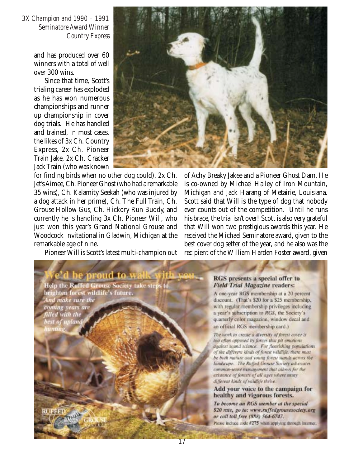*3X Champion and 1990 – 1991 Seminatore Award Winner Country Express*

> and has produced over 60 winners with a total of well over 300 wins.

> Since that time, Scott's trialing career has exploded as he has won numerous championships and runner up championship in cover dog trials. He has handled and trained, in most cases, the likes of 3x Ch. Country Express, 2x Ch. Pioneer Train Jake, 2x Ch. Cracker Jack Train (who was known

for finding birds when no other dog could), 2x Ch. Jet's Aimee, Ch. Pioneer Ghost (who had a remarkable 35 wins), Ch. Kalamity Seekah (who was injured by a dog attack in her prime), Ch. The Full Train, Ch. Grouse Hollow Gus, Ch. Hickory Run Buddy, and currently he is handling 3x Ch. Pioneer Will, who just won this year's Grand National Grouse and Woodcock Invitational in Gladwin, Michigan at the remarkable age of nine.

Pioneer Will is Scott's latest multi-champion out

be proud to

brighten forest wildlife's future.

And make sure the

coming years are<br>filled with the

best of upland

RUFFED

**Help the Ruffed Grouse Society take step** 



of Achy Breaky Jakee and a Pioneer Ghost Dam. He is co-owned by Michael Halley of Iron Mountain, Michigan and Jack Harang of Metairie, Louisiana. Scott said that Will is the type of dog that nobody ever counts out of the competition. Until he runs his brace, the trial isn't over! Scott is also very grateful that Will won two prestigious awards this year. He received the Michael Seminatore award, given to the best cover dog setter of the year, and he also was the recipient of the William Harden Foster award, given

## RGS presents a special offer to **Field Trial Magazine readers:**

A one-year RGS membership at a 20 percent discount. (That's \$20 for a \$25 membership, with regular membership privileges including a year's subscription to RGS, the Society's quarterly color magazine, window decal and an official RGS membership card.)

The work to create a diversity of forest cover is too often opposed by forces that pit emotions against sound science. For flourishing populations of the different kinds of forest wildlife, there must be both mature and young forest stands across the landscape. The Ruffed Grouse Society advocates compute-sense management that allows for the existence of forests of all ages where many different kinds of wildlife thrive.

## Add your voice to the campaign for healthy and vigorous forests.

To become an RGS member at the special \$20 rate, go to: www.ruffedgrousesociety.org or call toll free (888) 564-6747. Please include oxle #275 when applying through Internet.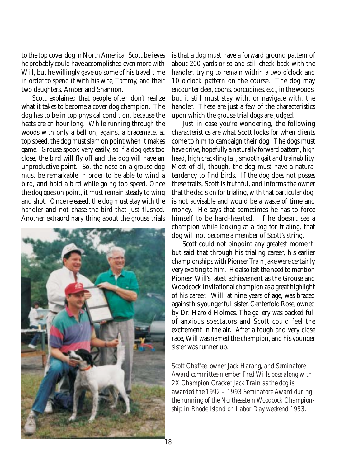to the top cover dog in North America. Scott believes he probably could have accomplished even more with Will, but he willingly gave up some of his travel time in order to spend it with his wife, Tammy, and their two daughters, Amber and Shannon.

Scott explained that people often don't realize what it takes to become a cover dog champion. The dog has to be in top physical condition, because the heats are an hour long. While running through the woods with only a bell on, against a bracemate, at top speed, the dog must slam on point when it makes game. Grouse spook very easily, so if a dog gets too close, the bird will fly off and the dog will have an unproductive point. So, the nose on a grouse dog must be remarkable in order to be able to wind a bird, and hold a bird while going top speed. Once the dog goes on point, it must remain steady to wing and shot. Once released, the dog must stay with the handler and not chase the bird that just flushed. Another extraordinary thing about the grouse trials



is that a dog must have a forward ground pattern of about 200 yards or so and still check back with the handler, trying to remain within a two o'clock and 10 o'clock pattern on the course. The dog may encounter deer, coons, porcupines, etc., in the woods, but it still must stay with, or navigate with, the handler. These are just a few of the characteristics upon which the grouse trial dogs are judged.

Just in case you're wondering, the following characteristics are what Scott looks for when clients come to him to campaign their dog. The dogs must have drive, hopefully a naturally forward pattern, high head, high crackling tail, smooth gait and trainability. Most of all, though, the dog must have a natural tendency to find birds. If the dog does not posses these traits, Scott is truthful, and informs the owner that the decision for trialing, with that particular dog, is not advisable and would be a waste of time and money. He says that sometimes he has to force himself to be hard-hearted. If he doesn't see a champion while looking at a dog for trialing, that dog will not become a member of Scott's string.

Scott could not pinpoint any greatest moment, but said that through his trialing career, his earlier championships with Pioneer Train Jake were certainly very exciting to him. He also felt the need to mention Pioneer Will's latest achievement as the Grouse and Woodcock Invitational champion as a great highlight of his career. Will, at nine years of age, was braced against his younger full sister, Centerfold Rose, owned by Dr. Harold Holmes. The gallery was packed full of anxious spectators and Scott could feel the excitement in the air. After a tough and very close race, Will was named the champion, and his younger sister was runner up.

*Scott Chaffee, owner Jack Harang, and Seminatore Award committee member Fred Wills pose along with 2X Champion Cracker Jack Train as the dog is awarded the 1992 – 1993 Seminatore Award during the running of the Northeastern Woodcock Championship in Rhode Island on Labor Day weekend 1993.*